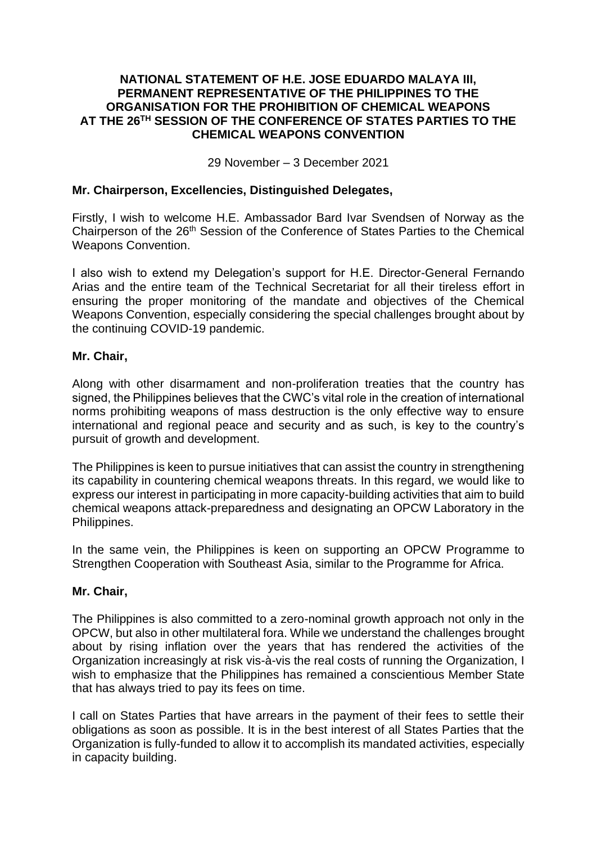# **NATIONAL STATEMENT OF H.E. JOSE EDUARDO MALAYA III, PERMANENT REPRESENTATIVE OF THE PHILIPPINES TO THE ORGANISATION FOR THE PROHIBITION OF CHEMICAL WEAPONS AT THE 26TH SESSION OF THE CONFERENCE OF STATES PARTIES TO THE CHEMICAL WEAPONS CONVENTION**

29 November – 3 December 2021

# **Mr. Chairperson, Excellencies, Distinguished Delegates,**

Firstly, I wish to welcome H.E. Ambassador Bard Ivar Svendsen of Norway as the Chairperson of the 26th Session of the Conference of States Parties to the Chemical Weapons Convention.

I also wish to extend my Delegation's support for H.E. Director-General Fernando Arias and the entire team of the Technical Secretariat for all their tireless effort in ensuring the proper monitoring of the mandate and objectives of the Chemical Weapons Convention, especially considering the special challenges brought about by the continuing COVID-19 pandemic.

### **Mr. Chair,**

Along with other disarmament and non-proliferation treaties that the country has signed, the Philippines believes that the CWC's vital role in the creation of international norms prohibiting weapons of mass destruction is the only effective way to ensure international and regional peace and security and as such, is key to the country's pursuit of growth and development.

The Philippines is keen to pursue initiatives that can assist the country in strengthening its capability in countering chemical weapons threats. In this regard, we would like to express our interest in participating in more capacity-building activities that aim to build chemical weapons attack-preparedness and designating an OPCW Laboratory in the Philippines.

In the same vein, the Philippines is keen on supporting an OPCW Programme to Strengthen Cooperation with Southeast Asia, similar to the Programme for Africa.

#### **Mr. Chair,**

The Philippines is also committed to a zero-nominal growth approach not only in the OPCW, but also in other multilateral fora. While we understand the challenges brought about by rising inflation over the years that has rendered the activities of the Organization increasingly at risk vis-à-vis the real costs of running the Organization, I wish to emphasize that the Philippines has remained a conscientious Member State that has always tried to pay its fees on time.

I call on States Parties that have arrears in the payment of their fees to settle their obligations as soon as possible. It is in the best interest of all States Parties that the Organization is fully-funded to allow it to accomplish its mandated activities, especially in capacity building.